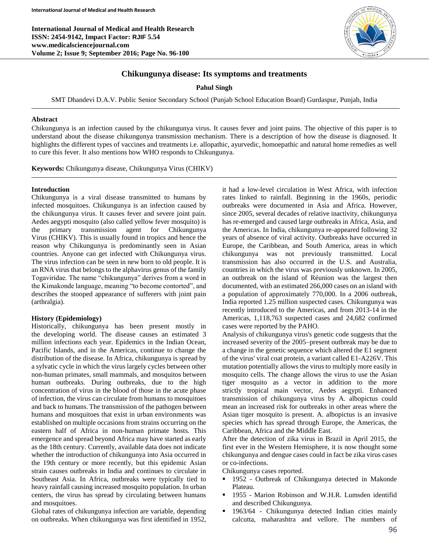**International Journal of Medical and Health Research ISSN: 2454-9142, Impact Factor: RJIF 5.54 www.medicalsciencejournal.com Volume 2; Issue 9; September 2016; Page No. 96-100**



## **Chikungunya disease: Its symptoms and treatments**

**Pahul Singh**

SMT Dhandevi D.A.V. Public Senior Secondary School (Punjab School Education Board) Gurdaspur, Punjab, India

### **Abstract**

Chikungunya is an infection caused by the chikungunya virus. It causes fever and joint pains. The objective of this paper is to understand about the disease chikungunya transmission mechanism. There is a description of how the disease is diagnosed. It highlights the different types of vaccines and treatments i.e. allopathic, ayurvedic, homoepathic and natural home remedies as well to cure this fever. It also mentions how WHO responds to Chikungunya.

**Keywords:** Chikungunya disease, Chikungunya Virus (CHIKV)

### **Introduction**

Chikungunya is a viral disease transmitted to humans by infected mosquitoes. Chikungunya is an infection caused by the chikungunya virus. It causes fever and severe joint pain. Aedes aegypti mosquito (also called yellow fever mosquito) is the primary transmission agent for Chikungunya Virus (CHIKV). This is usually found in tropics and hence the reason why Chikungunya is predominantly seen in Asian countries. Anyone can get infected with Chikungunya virus. The virus infection can be seen in new born to old people. It is an RNA virus that belongs to the alphavirus genus of the family Togaviridae. The name "chikungunya" derives from a word in the Kimakonde language, meaning "to become contorted", and describes the stooped appearance of sufferers with joint pain (arthralgia).

### **History (Epidemiology)**

Historically, chikungunya has been present mostly in the developing world. The disease causes an estimated 3 million infections each year. Epidemics in the Indian Ocean, Pacific Islands, and in the Americas, continue to change the distribution of the disease. In Africa, chikungunya is spread by a sylvatic cycle in which the virus largely cycles between other non-human primates, small mammals, and mosquitos between human outbreaks. During outbreaks, due to the high concentration of virus in the blood of those in the acute phase of infection, the virus can circulate from humans to mosquitoes and back to humans. The transmission of the pathogen between humans and mosquitoes that exist in urban environments was established on multiple occasions from strains occurring on the eastern half of Africa in non-human primate hosts. This emergence and spread beyond Africa may have started as early as the 18th century. Currently, available data does not indicate whether the introduction of chikungunya into Asia occurred in the 19th century or more recently, but this epidemic Asian strain causes outbreaks in India and continues to circulate in Southeast Asia. In Africa, outbreaks were typically tied to heavy rainfall causing increased mosquito population. In urban centers, the virus has spread by circulating between humans and mosquitoes.

Global rates of chikungunya infection are variable, depending on outbreaks. When chikungunya was first identified in 1952, it had a low-level circulation in West Africa, with infection rates linked to rainfall. Beginning in the 1960s, periodic outbreaks were documented in Asia and Africa. However, since 2005, several decades of relative inactivity, chikungunya has re-emerged and caused large outbreaks in Africa, Asia, and the Americas. In India, chikungunya re-appeared following 32 years of absence of viral activity. Outbreaks have occurred in Europe, the Caribbean, and South America, areas in which chikungunya was not previously transmitted. Local transmission has also occurred in the U.S. and Australia, countries in which the virus was previously unknown. In 2005, an outbreak on the island of Réunion was the largest then documented, with an estimated 266,000 cases on an island with a population of approximately 770,000. In a 2006 outbreak, India reported 1.25 million suspected cases. Chikungunya was recently introduced to the Americas, and from 2013-14 in the Americas, 1,118,763 suspected cases and 24,682 confirmed cases were reported by the PAHO.

Analysis of chikungunya virus's genetic code suggests that the increased severity of the 2005–present outbreak may be due to a change in the genetic sequence which altered the E1 segment of the virus' viral coat protein, a variant called E1-A226V. This mutation potentially allows the virus to multiply more easily in mosquito cells. The change allows the virus to use the Asian tiger mosquito as a vector in addition to the more strictly tropical main vector, Aedes aegypti. Enhanced transmission of chikungunya virus by A. albopictus could mean an increased risk for outbreaks in other areas where the Asian tiger mosquito is present. A. albopictus is an invasive species which has spread through Europe, the Americas, the Caribbean, Africa and the Middle East.

After the detection of zika virus in Brazil in April 2015, the first ever in the Western Hemisphere, it is now thought some chikungunya and dengue cases could in fact be zika virus cases or co-infections.

Chikungunya cases reported.

- 1952 Outbreak of Chikungunya detected in Makonde Plateau.
- 1955 Marion Robinson and W.H.R. Lumsden identifid and described Chikungunya.
- 1963/64 Chikungunya detected Indian cities mainly calcutta, maharashtra and vellore. The numbers of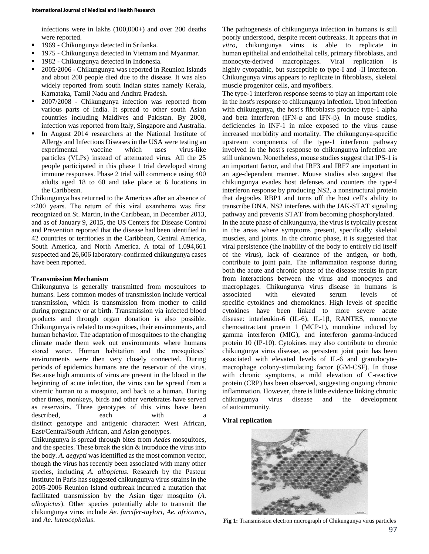infections were in lakhs (100,000+) and over 200 deaths were reported.

- <sup>1969</sup> Chikungunya detected in Srilanka.
- 1975 Chikungunya detected in Vietnam and Myanmar.
- 1982 Chikungunya detected in Indonesia.
- 2005/2006 Chikungunya was reported in Reunion Islands and about 200 people died due to the disease. It was also widely reported from south Indian states namely Kerala, Karnataka, Tamil Nadu and Andhra Pradesh.
- 2007/2008 Chikungunya infection was reported from various parts of India. It spread to other south Asian countries including Maldives and Pakistan. By 2008, infection was reported from Italy, Singapore and Australia.
- In August 2014 researchers at the National Institute of Allergy and Infectious Diseases in the USA were testing an experimental vaccine which uses virus-like particles (VLPs) instead of attenuated virus. All the 25 people participated in this phase 1 trial developed strong immune responses. Phase 2 trial will commence using 400 adults aged 18 to 60 and take place at 6 locations in the Caribbean.

Chikungunya has returned to the Americas after an absence of  $\approx$ 200 years. The return of this viral exanthema was first recognized on St. Martin, in the Caribbean, in December 2013, and as of January 9, 2015, the US Centers for Disease Control and Prevention reported that the disease had been identified in 42 countries or territories in the Caribbean, Central America, South America, and North America. A total of 1,094,661 suspected and 26,606 laboratory-confirmed chikungunya cases have been reported.

## **Transmission Mechanism**

Chikungunya is generally transmitted from mosquitoes to humans. Less common modes of transmission include vertical transmission, which is transmission from mother to child during pregnancy or at birth. Transmission via infected blood products and through organ donation is also possible. Chikungunya is related to mosquitoes, their environments, and human behavior. The adaptation of mosquitoes to the changing climate made them seek out environments where humans stored water. Human habitation and the mosquitoes' environments were then very closely connected. During periods of epidemics humans are the reservoir of the virus. Because high amounts of virus are present in the blood in the beginning of acute infection, the virus can be spread from a viremic human to a mosquito, and back to a human. During other times, monkeys, birds and other vertebrates have served as reservoirs. Three genotypes of this virus have been described, each with a distinct genotype and antigenic character: West African, East/Central/South African, and Asian genotypes.

Chikungunya is spread through bites from *Aedes* mosquitoes, and the species. These break the skin & introduce the virus into the body. *A. aegypti* was identified as the most common vector, though the virus has recently been associated with many other species, including *A. albopictus*. Research by the Pasteur Institute in Paris has suggested chikungunya virus strains in the 2005-2006 Reunion Island outbreak incurred a mutation that facilitated transmission by the Asian tiger mosquito (*A. albopictus*). Other species potentially able to transmit the chikungunya virus include *Ae. furcifer-taylori*, *Ae. africanus*, and *Ae. luteocephalus*.

The pathogenesis of chikungunya infection in humans is still poorly understood, despite recent outbreaks. It appears that *in vitro*, chikungunya virus is able to replicate in human epithelial and endothelial cells, primary fibroblasts, and monocyte-derived macrophages. Viral replication is highly cytopathic, but susceptible to type-I and -II interferon. Chikungunya virus appears to replicate in fibroblasts, skeletal muscle progenitor cells, and myofibers.

The type-1 interferon response seems to play an important role in the host's response to chikungunya infection. Upon infection with chikungunya, the host's fibroblasts produce type-1 alpha and beta interferon (IFN- $\alpha$  and IFN- $\beta$ ). In mouse studies, deficiencies in INF-1 in mice exposed to the virus cause increased morbidity and mortality. The chikungunya-specific upstream components of the type-1 interferon pathway involved in the host's response to chikungunya infection are still unknown. Nonetheless, mouse studies suggest that IPS-1 is an important factor, and that IRF3 and IRF7 are important in an age-dependent manner. Mouse studies also suggest that chikungunya evades host defenses and counters the type-I interferon response by producing NS2, a nonstructural protein that degrades RBP1 and turns off the host cell's ability to transcribe DNA. NS2 interferes with the JAK-STAT signaling pathway and prevents STAT from becoming phosphorylated. In the acute phase of chikungunya, the virus is typically present in the areas where symptoms present, specifically skeletal muscles, and joints. In the chronic phase, it is suggested that viral persistence (the inability of the body to entirely rid itself of the virus), lack of clearance of the antigen, or both, contribute to joint pain. The inflammation response during both the acute and chronic phase of the disease results in part from interactions between the virus and monocytes and macrophages. Chikungunya virus disease in humans is associated with elevated serum levels of specific cytokines and chemokines. High levels of specific cytokines have been linked to more severe acute disease: interleukin-6 (IL-6), IL-1β, RANTES, monocyte chemoattractant protein 1 (MCP-1), monokine induced by gamma interferon (MIG), and interferon gamma-induced protein 10 (IP-10). Cytokines may also contribute to chronic chikungunya virus disease, as persistent joint pain has been associated with elevated levels of IL-6 and granulocytemacrophage colony-stimulating factor (GM-CSF). In those with chronic symptoms, a mild elevation of C-reactive protein (CRP) has been observed, suggesting ongoing chronic inflammation. However, there is little evidence linking chronic chikungunya virus disease and the development of autoimmunity.

### **Viral replication**



**Fig 1:** Transmission electron micrograph of Chikungunya virus particles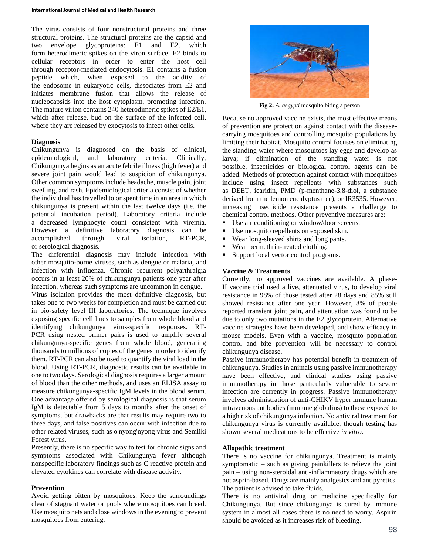The virus consists of four nonstructural proteins and three structural proteins. The structural proteins are the capsid and two envelope glycoproteins: E1 and E2, which form heterodimeric spikes on the viron surface. E2 binds to cellular receptors in order to enter the host cell through receptor-mediated endocytosis. E1 contains a fusion peptide which, when exposed to the acidity of the endosome in eukaryotic cells, dissociates from E2 and initiates membrane fusion that allows the release of nucleocapsids into the host cytoplasm, promoting infection. The mature virion contains 240 heterodimeric spikes of E2/E1, which after release, bud on the surface of the infected cell, where they are released by exocytosis to infect other cells.

## **Diagnosis**

Chikungunya is diagnosed on the basis of clinical, epidemiological, and laboratory criteria. Clinically, Chikungunya begins as an acute febrile illness (high fever) and severe joint pain would lead to suspicion of chikungunya. Other common symptoms include headache, muscle pain, joint swelling, and rash. Epidemiological criteria consist of whether the individual has travelled to or spent time in an area in which chikungunya is present within the last twelve days (i.e. the potential incubation period). Laboratory criteria include a decreased lymphocyte count consistent with viremia. However a definitive laboratory diagnosis can be accomplished through viral isolation, RT-PCR, or serological diagnosis.

The differential diagnosis may include infection with other mosquito-borne viruses, such as dengue or malaria, and infection with influenza. Chronic recurrent polyarthralgia occurs in at least 20% of chikungunya patients one year after infection, whereas such symptoms are uncommon in dengue. Virus isolation provides the most definitive diagnosis, but

takes one to two weeks for completion and must be carried out in bio-safety level III laboratories. The technique involves exposing specific cell lines to samples from whole blood and identifying chikungunya virus-specific responses. RT-PCR using nested primer pairs is used to amplify several chikungunya-specific genes from whole blood, generating thousands to millions of copies of the genes in order to identify them. RT-PCR can also be used to quantify the viral load in the blood. Using RT-PCR, diagnostic results can be available in one to two days. Serological diagnosis requires a larger amount of blood than the other methods, and uses an ELISA assay to measure chikungunya-specific IgM levels in the blood serum. One advantage offered by serological diagnosis is that serum IgM is detectable from 5 days to months after the onset of symptoms, but drawbacks are that results may require two to three days, and false positives can occur with infection due to other related viruses, such as o'nyong'nyong virus and Semliki Forest virus.

Presently, there is no specific way to test for chronic signs and symptoms associated with Chikungunya fever although nonspecific laboratory findings such as C reactive protein and elevated cytokines can correlate with disease activity.

### **Prevention**

Avoid getting bitten by mosquitoes. Keep the surroundings clear of stagnant water or pools where mosquitoes can breed. Use mosquito nets and close windows in the evening to prevent mosquitoes from entering.



**Fig 2:** *A. aegypti* mosquito biting a person

Because no approved vaccine exists, the most effective means of prevention are protection against contact with the diseasecarrying mosquitoes and controlling mosquito populations by limiting their habitat. Mosquito control focuses on eliminating the standing water where mosquitoes lay eggs and develop as larva; if elimination of the standing water is not possible, insecticides or biological control agents can be added. Methods of protection against contact with mosquitoes include using insect repellents with substances such as DEET, icaridin, PMD (p-menthane-3,8-diol, a substance derived from the lemon eucalyptus tree), or IR3535. However, increasing insecticide resistance presents a challenge to chemical control methods. Other preventive measures are:

- Use air conditioning or window/door screens.
- Use mosquito repellents on exposed skin.
- Wear long-sleeved shirts and long pants.
- Wear permethrin-treated clothing.
- Support local vector control programs.

### **Vaccine & Treatments**

Currently, no approved vaccines are available. A phase-II vaccine trial used a live, attenuated virus, to develop viral resistance in 98% of those tested after 28 days and 85% still showed resistance after one year. However, 8% of people reported transient joint pain, and attenuation was found to be due to only two mutations in the E2 glycoprotein. Alternative vaccine strategies have been developed, and show efficacy in mouse models. Even with a vaccine, mosquito population control and bite prevention will be necessary to control chikungunya disease.

Passive immunotherapy has potential benefit in treatment of chikungunya. Studies in animals using passive immunotherapy have been effective, and clinical studies using passive immunotherapy in those particularly vulnerable to severe infection are currently in progress. Passive immunotherapy involves administration of anti-CHIKV hyper immune human intravenous antibodies (immune globulins) to those exposed to a high risk of chikungunya infection. No antiviral treatment for chikungunya virus is currently available, though testing has shown several medications to be effective *in vitro*.

## **Allopathic treatment**

There is no vaccine for chikungunya. Treatment is mainly symptomatic – such as giving painkillers to relieve the joint pain – using non-steroidal anti-inflammatory drugs which are not asprin-based. Drugs are mainly analgesics and antipyretics. The patient is advised to take fluids.

There is no antiviral drug or medicine specifically for Chikungunya. But since chikungunya is cured by immune system in almost all cases there is no need to worry. Aspirin should be avoided as it increases risk of bleeding.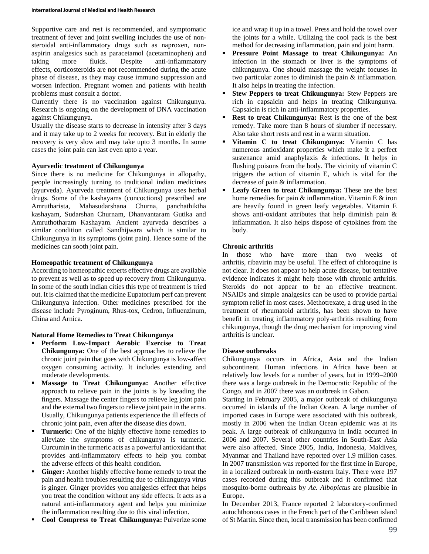Supportive care and rest is recommended, and symptomatic treatment of fever and joint swelling includes the use of nonsteroidal anti-inflammatory drugs such as naproxen, nonaspirin analgesics such as paracetamol (acetaminophen) and taking more fluids. Despite anti-inflammatory effects, corticosteroids are not recommended during the acute phase of disease, as they may cause immuno suppression and worsen infection. Pregnant women and patients with health problems must consult a doctor.

Currently there is no vaccination against Chikungunya. Research is ongoing on the development of DNA vaccination against Chikungunya.

Usually the disease starts to decrease in intensity after 3 days and it may take up to 2 weeks for recovery. But in elderly the recovery is very slow and may take upto 3 months. In some cases the joint pain can last even upto a year.

## **Ayurvedic treatment of Chikungunya**

Since there is no medicine for Chikungunya in allopathy, people increasingly turning to traditional indian medicines (ayurveda). Ayurveda treatment of Chikungunya uses herbal drugs. Some of the kashayams (concoctions) prescribed are Amrutharista, Mahasudarshana Churna, panchathiktha kashayam, Sudarshan Churnam, Dhanvantaram Gutika and Amruthotharam Kashayam. Ancient ayurveda describes a similar condition called Sandhijwara which is similar to Chikungunya in its symptoms (joint pain). Hence some of the medicines can sooth joint pain.

## **Homeopathic treatment of Chikungunya**

According to homeopathic experts effective drugs are available to prevent as well as to speed up recovery from Chikungunya. In some of the south indian cities this type of treatment is tried out. It is claimed that the medicine Eupatorium perf can prevent Chikungunya infection. Other medicines prescribed for the disease include Pyroginum, Rhus-tox, Cedron, Influenzinum, China and Arnica.

# **Natural Home Remedies to Treat Chikungunya**

- **Perform Low-Impact Aerobic Exercise to Treat Chikungunya:** One of the best approaches to relieve the chronic joint pain that goes with Chikungunya is low-affect oxygen consuming activity. It includes extending and moderate developments.
- **Massage to Treat Chikungunya:** Another effective approach to relieve pain in the joints is by kneading the fingers. Massage the center fingers to relieve leg joint pain and the external two fingers to relieve joint pain in the arms. Usually, Chikungunya patients experience the ill effects of chronic joint pain, even after the disease dies down.
- **Turmeric:** One of the highly effective home remedies to alleviate the symptoms of chikungunya is turmeric. Curcumin in the turmeric acts as a powerful antioxidant that provides anti-inflammatory effects to help you combat the adverse effects of this health condition.
- **Ginger:** Another highly effective home remedy to treat the pain and health troubles resulting due to chikungunya virus is ginger**.** Ginger provides you analgesics effect that helps you treat the condition without any side effects. It acts as a natural anti-inflammatory agent and helps you minimize the inflammation resulting due to this viral infection.
- **Cool Compress to Treat Chikungunya:** Pulverize some

ice and wrap it up in a towel. Press and hold the towel over the joints for a while. Utilizing the cool pack is the best method for decreasing inflammation, pain and joint harm.

- **Pressure Point Massage to treat Chikungunya:** An infection in the stomach or liver is the symptoms of chikungunya. One should massage the weight focuses in two particular zones to diminish the pain & inflammation. It also helps in treating the infection.
- **Stew Peppers to treat Chikungunya:** Stew Peppers are rich in capsaicin and helps in treating Chikungunya. Capsaicin is rich in anti-inflammatory properties.
- **Rest to treat Chikungunya:** Rest is the one of the best remedy. Take more than 8 hours of slumber if necessary. Also take short rests and rest in a warm situation.
- **Vitamin C to treat Chikungunya:** Vitamin C has numerous antioxidant properties which make it a perfect sustenance amid anaphylaxis & infections. It helps in flushing poisons from the body. The vicinity of vitamin C triggers the action of vitamin E, which is vital for the decrease of pain & inflammation.
- **Leafy Green to treat Chikungunya:** These are the best home remedies for pain & inflammation. Vitamin E & iron are heavily found in green leafy vegetables. Vitamin E shows anti-oxidant attributes that help diminish pain & inflammation. It also helps dispose of cytokines from the body.

# **Chronic arthritis**

In those who have more than two weeks of arthritis, ribavirin may be useful. The effect of chloroquine is not clear. It does not appear to help acute disease, but tentative evidence indicates it might help those with chronic arthritis. Steroids do not appear to be an effective treatment. NSAIDs and simple analgesics can be used to provide partial symptom relief in most cases. Methotrexate, a drug used in the treatment of rheumatoid arthritis, has been shown to have benefit in treating inflammatory poly-arthritis resulting from chikungunya, though the drug mechanism for improving viral arthritis is unclear.

## **Disease outbreaks**

Chikungunya occurs in Africa, Asia and the Indian subcontinent. Human infections in Africa have been at relatively low levels for a number of years, but in 1999–2000 there was a large outbreak in the Democratic Republic of the Congo, and in 2007 there was an outbreak in Gabon.

Starting in February 2005, a major outbreak of chikungunya occurred in islands of the Indian Ocean. A large number of imported cases in Europe were associated with this outbreak, mostly in 2006 when the Indian Ocean epidemic was at its peak. A large outbreak of chikungunya in India occurred in 2006 and 2007. Several other countries in South-East Asia were also affected. Since 2005, India, Indonesia, Maldives, Myanmar and Thailand have reported over 1.9 million cases. In 2007 transmission was reported for the first time in Europe, in a localized outbreak in north-eastern Italy. There were 197 cases recorded during this outbreak and it confirmed that mosquito-borne outbreaks by *Ae. Albopictus* are plausible in Europe.

In December 2013, France reported 2 laboratory-confirmed autochthonous cases in the French part of the Caribbean island of St Martin. Since then, local transmission has been confirmed